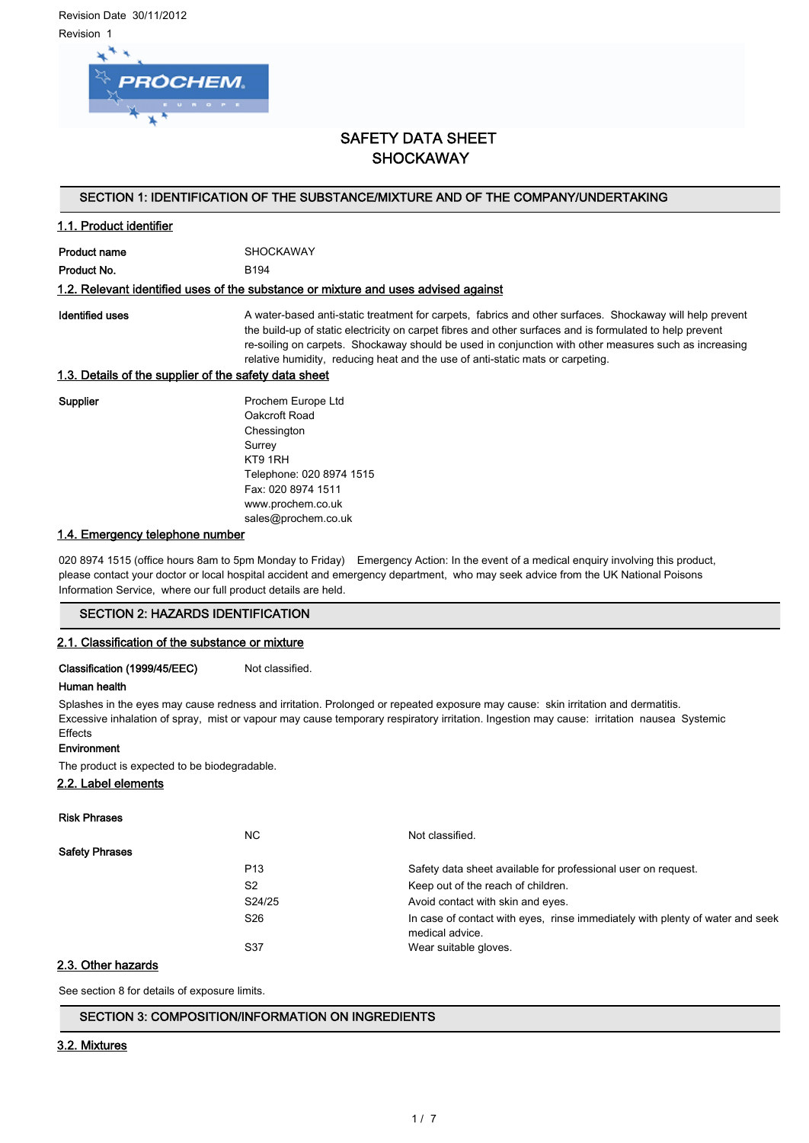Revision Date 30/11/2012 Revision 1



# SAFETY DATA SHEET **SHOCKAWAY**

### SECTION 1: IDENTIFICATION OF THE SUBSTANCE/MIXTURE AND OF THE COMPANY/UNDERTAKING

### 1.1. Product identifier

Product name SHOCKAWAY Product No. 6194

#### 1.2. Relevant identified uses of the substance or mixture and uses advised against

Identified uses **A** water-based anti-static treatment for carpets, fabrics and other surfaces. Shockaway will help prevent the build-up of static electricity on carpet fibres and other surfaces and is formulated to help prevent re-soiling on carpets. Shockaway should be used in conjunction with other measures such as increasing relative humidity, reducing heat and the use of anti-static mats or carpeting.

### 1.3. Details of the supplier of the safety data sheet

Supplier **Prochem Europe Ltd** Oakcroft Road **Chessington** Surrey KT9 1RH Telephone: 020 8974 1515 Fax: 020 8974 1511 www.prochem.co.uk sales@prochem.co.uk

### 1.4. Emergency telephone number

020 8974 1515 (office hours 8am to 5pm Monday to Friday) Emergency Action: In the event of a medical enquiry involving this product, please contact your doctor or local hospital accident and emergency department, who may seek advice from the UK National Poisons Information Service, where our full product details are held.

#### SECTION 2: HAZARDS IDENTIFICATION

#### 2.1. Classification of the substance or mixture

Classification (1999/45/EEC) Not classified.

#### Human health

Splashes in the eyes may cause redness and irritation. Prolonged or repeated exposure may cause: skin irritation and dermatitis. Excessive inhalation of spray, mist or vapour may cause temporary respiratory irritation. Ingestion may cause: irritation nausea Systemic **Effects** 

#### Environment

The product is expected to be biodegradable.

### 2.2. Label elements

| <b>Risk Phrases</b>   |                 |                                                                                                  |
|-----------------------|-----------------|--------------------------------------------------------------------------------------------------|
|                       | NC.             | Not classified.                                                                                  |
| <b>Safety Phrases</b> |                 |                                                                                                  |
|                       | P <sub>13</sub> | Safety data sheet available for professional user on request.                                    |
|                       | S <sub>2</sub>  | Keep out of the reach of children.                                                               |
|                       | S24/25          | Avoid contact with skin and eyes.                                                                |
|                       | S <sub>26</sub> | In case of contact with eyes, rinse immediately with plenty of water and seek<br>medical advice. |
|                       | S37             | Wear suitable gloves.                                                                            |

### 2.3. Other hazards

See section 8 for details of exposure limits.

#### SECTION 3: COMPOSITION/INFORMATION ON INGREDIENTS

#### 3.2. Mixtures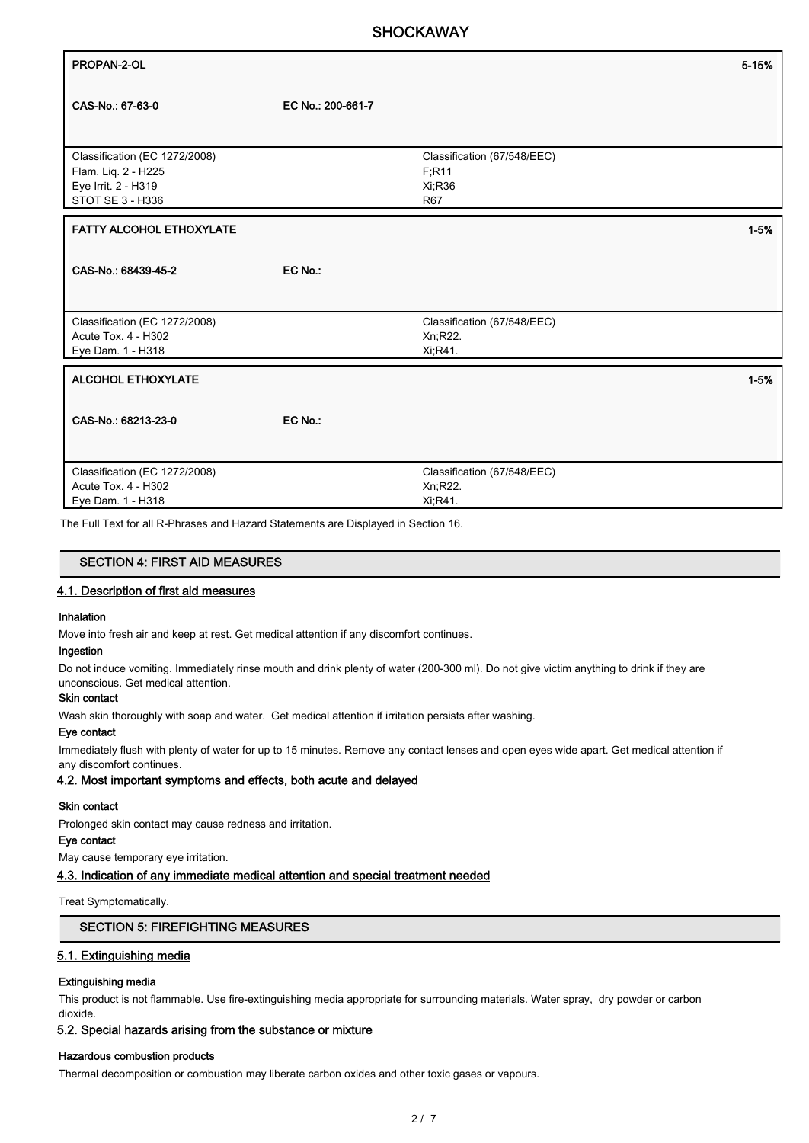# **SHOCKAWAY**

| PROPAN-2-OL                                                                                     |                   |                                                              | 5-15%    |
|-------------------------------------------------------------------------------------------------|-------------------|--------------------------------------------------------------|----------|
| CAS-No.: 67-63-0                                                                                | EC No.: 200-661-7 |                                                              |          |
| Classification (EC 1272/2008)<br>Flam. Liq. 2 - H225<br>Eye Irrit. 2 - H319<br>STOT SE 3 - H336 |                   | Classification (67/548/EEC)<br>F:R11<br>Xi:R36<br><b>R67</b> |          |
| <b>FATTY ALCOHOL ETHOXYLATE</b>                                                                 |                   |                                                              | $1 - 5%$ |
| CAS-No.: 68439-45-2                                                                             | EC No.:           |                                                              |          |
| Classification (EC 1272/2008)<br>Acute Tox. 4 - H302<br>Eye Dam. 1 - H318                       |                   | Classification (67/548/EEC)<br>Xn;R22.<br>Xi, R41.           |          |
| <b>ALCOHOL ETHOXYLATE</b>                                                                       |                   |                                                              | $1 - 5%$ |
| CAS-No.: 68213-23-0                                                                             | EC No.:           |                                                              |          |
| Classification (EC 1272/2008)<br>Acute Tox. 4 - H302                                            |                   | Classification (67/548/EEC)<br>Xn;R22.                       |          |
| Eye Dam. 1 - H318                                                                               |                   | Xi:R41.                                                      |          |

The Full Text for all R-Phrases and Hazard Statements are Displayed in Section 16.

#### SECTION 4: FIRST AID MEASURES

#### 4.1. Description of first aid measures

#### Inhalation

Move into fresh air and keep at rest. Get medical attention if any discomfort continues.

## Ingestion

Do not induce vomiting. Immediately rinse mouth and drink plenty of water (200-300 ml). Do not give victim anything to drink if they are unconscious. Get medical attention.

### Skin contact

Wash skin thoroughly with soap and water. Get medical attention if irritation persists after washing.

#### Eye contact

Immediately flush with plenty of water for up to 15 minutes. Remove any contact lenses and open eyes wide apart. Get medical attention if any discomfort continues.

#### 4.2. Most important symptoms and effects, both acute and delayed

#### Skin contact

Prolonged skin contact may cause redness and irritation.

### Eye contact

May cause temporary eye irritation.

4.3. Indication of any immediate medical attention and special treatment needed

#### Treat Symptomatically.

#### SECTION 5: FIREFIGHTING MEASURES

#### 5.1. Extinguishing media

#### Extinguishing media

This product is not flammable. Use fire-extinguishing media appropriate for surrounding materials. Water spray, dry powder or carbon dioxide.

### 5.2. Special hazards arising from the substance or mixture

#### Hazardous combustion products

Thermal decomposition or combustion may liberate carbon oxides and other toxic gases or vapours.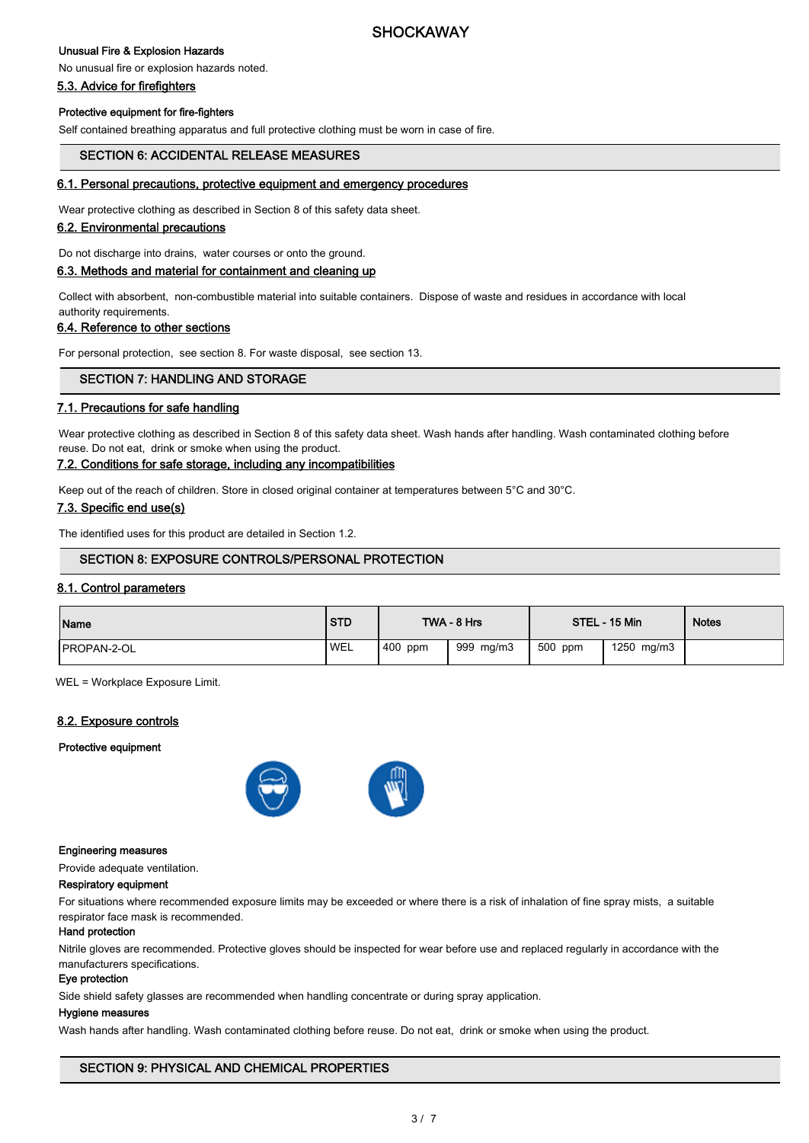# **SHOCKAWAY**

### Unusual Fire & Explosion Hazards

### No unusual fire or explosion hazards noted.

5.3. Advice for firefighters

#### Protective equipment for fire-fighters

Self contained breathing apparatus and full protective clothing must be worn in case of fire.

### SECTION 6: ACCIDENTAL RELEASE MEASURES

### 6.1. Personal precautions, protective equipment and emergency procedures

Wear protective clothing as described in Section 8 of this safety data sheet.

#### 6.2. Environmental precautions

Do not discharge into drains, water courses or onto the ground.

### 6.3. Methods and material for containment and cleaning up

Collect with absorbent, non-combustible material into suitable containers. Dispose of waste and residues in accordance with local authority requirements.

#### 6.4. Reference to other sections

For personal protection, see section 8. For waste disposal, see section 13.

### SECTION 7: HANDLING AND STORAGE

#### 7.1. Precautions for safe handling

Wear protective clothing as described in Section 8 of this safety data sheet. Wash hands after handling. Wash contaminated clothing before reuse. Do not eat, drink or smoke when using the product.

#### 7.2. Conditions for safe storage, including any incompatibilities

Keep out of the reach of children. Store in closed original container at temperatures between 5°C and 30°C.

#### 7.3. Specific end use(s)

The identified uses for this product are detailed in Section 1.2.

### SECTION 8: EXPOSURE CONTROLS/PERSONAL PROTECTION

#### 8.1. Control parameters

| Name                | <b>STD</b> |         | TWA - 8 Hrs |         | STEL - 15 Min | <b>Notes</b> |
|---------------------|------------|---------|-------------|---------|---------------|--------------|
| <b>IPROPAN-2-OL</b> | <b>WEL</b> | 400 ppm | 999 mg/m3   | 500 ppm | 1250 mg/m3    |              |

WEL = Workplace Exposure Limit.

#### 8.2. Exposure controls

#### Protective equipment



#### Engineering measures

Provide adequate ventilation.

#### Respiratory equipment

For situations where recommended exposure limits may be exceeded or where there is a risk of inhalation of fine spray mists, a suitable respirator face mask is recommended.

#### Hand protection

Nitrile gloves are recommended. Protective gloves should be inspected for wear before use and replaced regularly in accordance with the manufacturers specifications.

### Eye protection

Side shield safety glasses are recommended when handling concentrate or during spray application.

#### Hygiene measures

Wash hands after handling. Wash contaminated clothing before reuse. Do not eat, drink or smoke when using the product.

### SECTION 9: PHYSICAL AND CHEMICAL PROPERTIES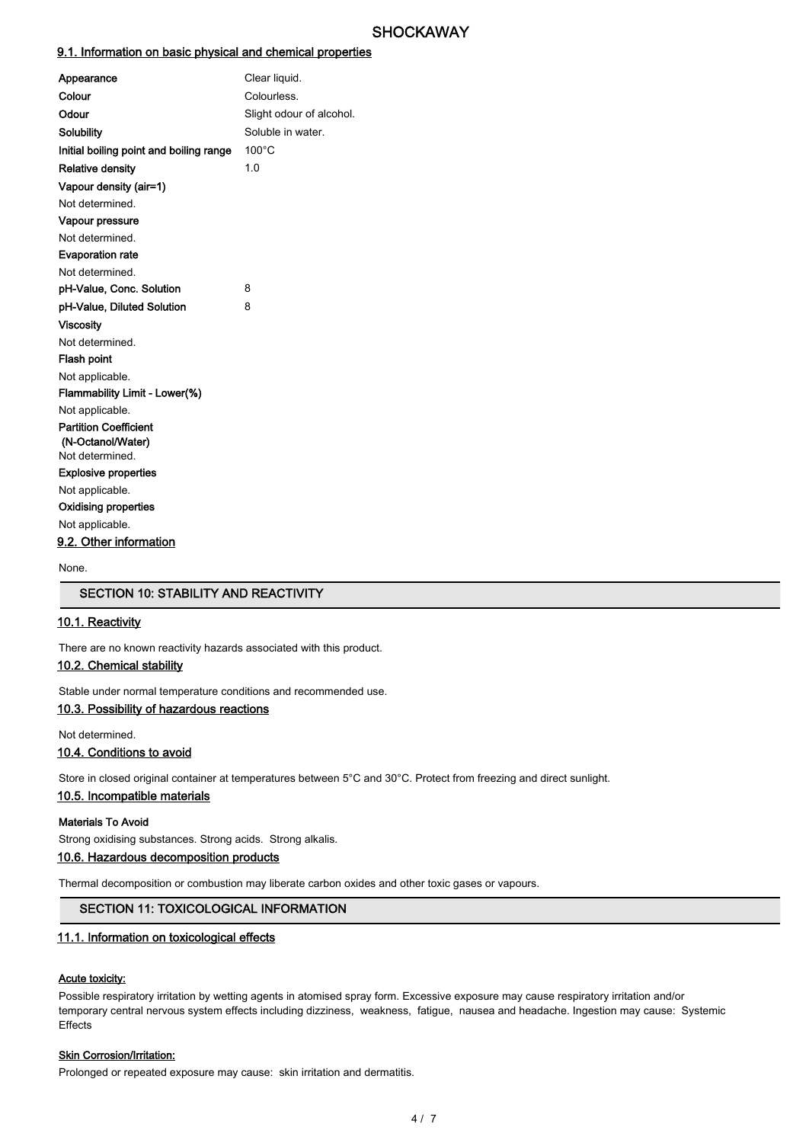### 9.1. Information on basic physical and chemical properties

| Clear liquid.            |
|--------------------------|
| Colourless.              |
| Slight odour of alcohol. |
| Soluble in water.        |
| $100^{\circ}$ C          |
| 1.0                      |
|                          |
|                          |
|                          |
|                          |
|                          |
|                          |
| 8                        |
| 8                        |
|                          |
|                          |
|                          |
|                          |
|                          |
|                          |
|                          |
|                          |
|                          |
|                          |
|                          |
|                          |
|                          |
|                          |
|                          |

None.

### SECTION 10: STABILITY AND REACTIVITY

### 10.1. Reactivity

There are no known reactivity hazards associated with this product.

### 10.2. Chemical stability

Stable under normal temperature conditions and recommended use.

### 10.3. Possibility of hazardous reactions

Not determined.

### 10.4. Conditions to avoid

Store in closed original container at temperatures between 5°C and 30°C. Protect from freezing and direct sunlight.

#### 10.5. Incompatible materials

#### Materials To Avoid

Strong oxidising substances. Strong acids. Strong alkalis.

### 10.6. Hazardous decomposition products

Thermal decomposition or combustion may liberate carbon oxides and other toxic gases or vapours.

### SECTION 11: TOXICOLOGICAL INFORMATION

### 11.1. Information on toxicological effects

#### Acute toxicity:

Possible respiratory irritation by wetting agents in atomised spray form. Excessive exposure may cause respiratory irritation and/or temporary central nervous system effects including dizziness, weakness, fatigue, nausea and headache. Ingestion may cause: Systemic Effects

#### **Skin Corrosion/Irritation:**

Prolonged or repeated exposure may cause: skin irritation and dermatitis.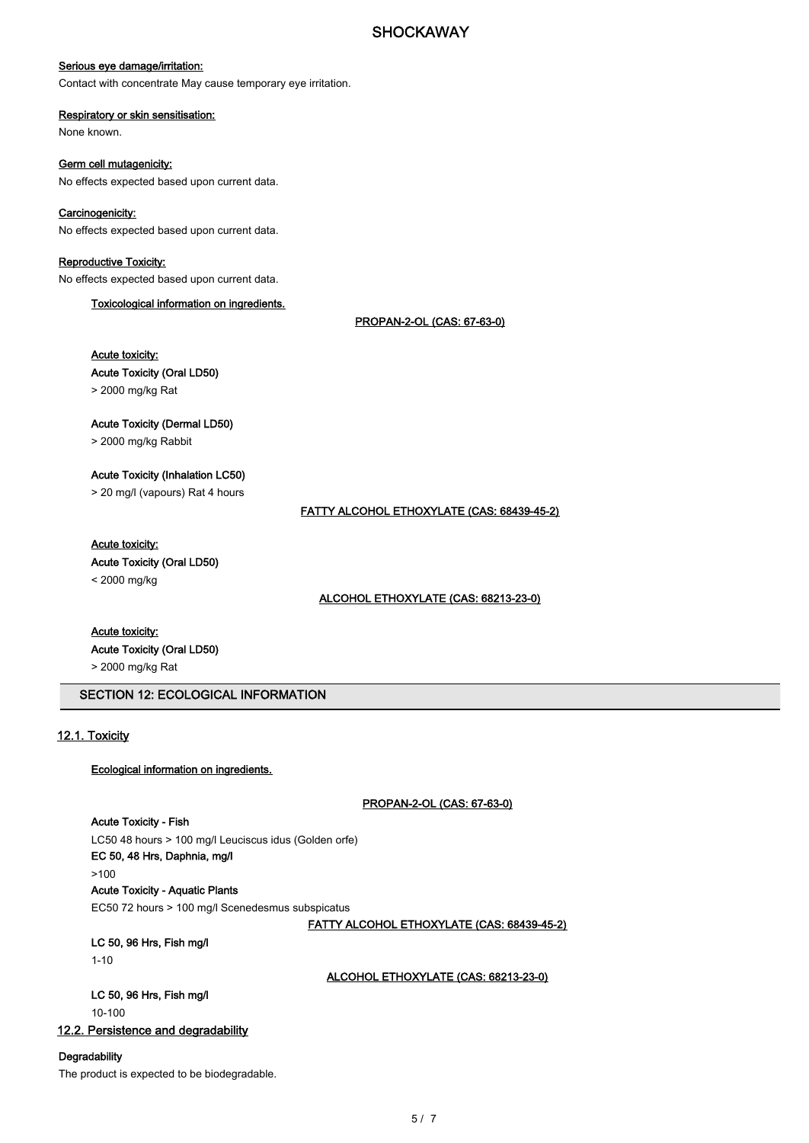### Serious eye damage/irritation:

Contact with concentrate May cause temporary eye irritation.

#### Respiratory or skin sensitisation: None known.

Germ cell mutagenicity: No effects expected based upon current data.

### Carcinogenicity:

No effects expected based upon current data.

### Reproductive Toxicity:

No effects expected based upon current data.

Toxicological information on ingredients.

PROPAN-2-OL (CAS: 67-63-0)

Acute toxicity: Acute Toxicity (Oral LD50)

> 2000 mg/kg Rat

### Acute Toxicity (Dermal LD50)

> 2000 mg/kg Rabbit

### Acute Toxicity (Inhalation LC50)

> 20 mg/l (vapours) Rat 4 hours

FATTY ALCOHOL ETHOXYLATE (CAS: 68439-45-2)

#### Acute toxicity:

Acute Toxicity (Oral LD50)

< 2000 mg/kg

#### ALCOHOL ETHOXYLATE (CAS: 68213-23-0)

# Acute toxicity: Acute Toxicity (Oral LD50)

> 2000 mg/kg Rat

### SECTION 12: ECOLOGICAL INFORMATION

### 12.1. Toxicity

#### Ecological information on ingredients.

PROPAN-2-OL (CAS: 67-63-0)

#### Acute Toxicity - Fish

LC50 48 hours > 100 mg/l Leuciscus idus (Golden orfe) EC 50, 48 Hrs, Daphnia, mg/l >100 Acute Toxicity - Aquatic Plants EC50 72 hours > 100 mg/l Scenedesmus subspicatus

FATTY ALCOHOL ETHOXYLATE (CAS: 68439-45-2)

#### LC 50, 96 Hrs, Fish mg/l 1-10

ALCOHOL ETHOXYLATE (CAS: 68213-23-0)

## LC 50, 96 Hrs, Fish mg/l

10-100

### 12.2. Persistence and degradability

#### **Degradability**

The product is expected to be biodegradable.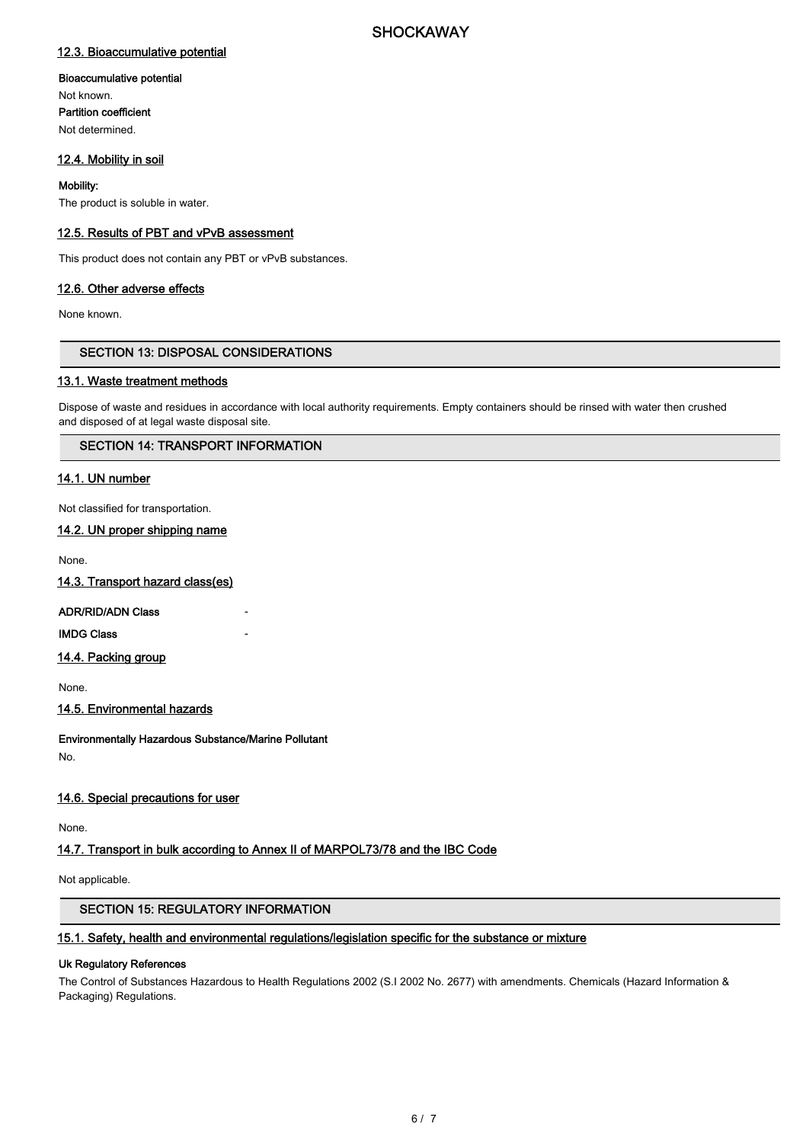### 12.3. Bioaccumulative potential

#### Bioaccumulative potential

Not known. Partition coefficient Not determined.

### 12.4. Mobility in soil

### Mobility:

The product is soluble in water.

### 12.5. Results of PBT and vPvB assessment

This product does not contain any PBT or vPvB substances.

### 12.6. Other adverse effects

None known.

### SECTION 13: DISPOSAL CONSIDERATIONS

### 13.1. Waste treatment methods

Dispose of waste and residues in accordance with local authority requirements. Empty containers should be rinsed with water then crushed and disposed of at legal waste disposal site.

### SECTION 14: TRANSPORT INFORMATION

### 14.1. UN number

Not classified for transportation.

### 14.2. UN proper shipping name

None.

14.3. Transport hazard class(es)

### ADR/RID/ADN Class -

**IMDG Class** 

#### 14.4. Packing group

None.

#### 14.5. Environmental hazards

Environmentally Hazardous Substance/Marine Pollutant

No.

### 14.6. Special precautions for user

None.

### 14.7. Transport in bulk according to Annex II of MARPOL73/78 and the IBC Code

Not applicable.

### SECTION 15: REGULATORY INFORMATION

### 15.1. Safety, health and environmental regulations/legislation specific for the substance or mixture

#### Uk Regulatory References

The Control of Substances Hazardous to Health Regulations 2002 (S.I 2002 No. 2677) with amendments. Chemicals (Hazard Information & Packaging) Regulations.